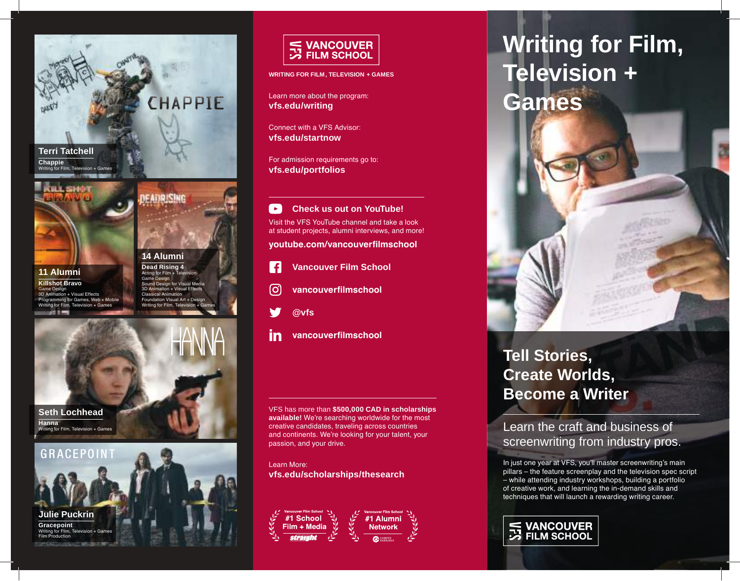

**Chappie**  Writing for Film, Television + Games



**11 Alumni Killshot Bravo**  Game Design 3D Animation + Visual Effects nming for Games, Web + Mobile Writing for Film, Television + Game  $-2011 -$ 

**14 Alumni Dead Rising 4** Acting for Film + Telev ne Design Sound Design for Visual Media 3D Animation + Visual Effects Classical Animation Foundation Visual Art + Design Writing for Film, Tele

: Anip (Stud



**Seth Lochhead Hanna**  Writing for Film, Television + Games





**WRITING FOR FILM, TELEVISION + GAMES**

Learn more about the program: **vfs.edu/writing**

Connect with a VFS Advisor: **vfs.edu/startnow**

For admission requirements go to: **vfs.edu/portfolios**

 $\rightarrow$ **Check us out on YouTube!** Visit the VFS YouTube channel and take a look at student projects, alumni interviews, and more!

**youtube.com/vancouverfilmschool**

- **Vancouver Film School** -f
- [O] **vancouverfilmschool**
- **@vfs**
- **vancouverfilmschool** in

VFS has more than **\$500,000 CAD in scholarships available!** We're searching worldwide for the most creative candidates, traveling across countries and continents. We're looking for your talent, your passion, and your drive.

Learn More: **vfs.edu/scholarships/thesearch**



# **Writing for Film, Television +**



## **Tell Stories, Create Worlds, Become a Writer**

Learn the craft and business of screenwriting from industry pros.

In just one year at VFS, you'll master screenwriting's main pillars – the feature screenplay and the television spec script – while attending industry workshops, building a portfolio of creative work, and learning the in-demand skills and techniques that will launch a rewarding writing career.